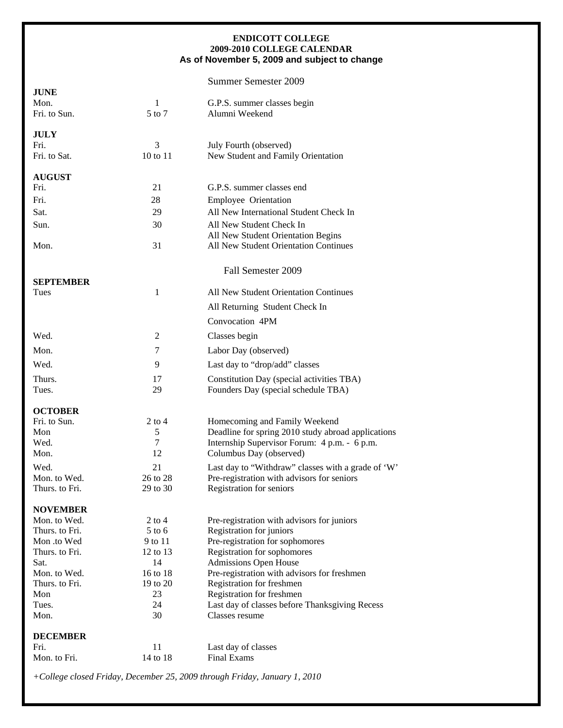## **ENDICOTT COLLEGE 2009-2010 COLLEGE CALENDAR As of November 5, 2009 and subject to change**

## Summer Semester 2009

| <b>JUNE</b><br>Mon.  | 1              | G.P.S. summer classes begin                                             |
|----------------------|----------------|-------------------------------------------------------------------------|
| Fri. to Sun.         | 5 to 7         | Alumni Weekend                                                          |
| <b>JULY</b>          |                |                                                                         |
| Fri.<br>Fri. to Sat. | 3<br>10 to 11  | July Fourth (observed)<br>New Student and Family Orientation            |
|                      |                |                                                                         |
| <b>AUGUST</b>        |                |                                                                         |
| Fri.                 | 21             | G.P.S. summer classes end                                               |
| Fri.                 | 28             | Employee Orientation                                                    |
| Sat.                 | 29             | All New International Student Check In                                  |
| Sun.                 | 30             | All New Student Check In<br>All New Student Orientation Begins          |
| Mon.                 | 31             | All New Student Orientation Continues                                   |
|                      |                | Fall Semester 2009                                                      |
| <b>SEPTEMBER</b>     |                |                                                                         |
| Tues                 | $\mathbf{1}$   | All New Student Orientation Continues                                   |
|                      |                | All Returning Student Check In                                          |
|                      |                | Convocation 4PM                                                         |
| Wed.                 | 2              | Classes begin                                                           |
| Mon.                 | 7              | Labor Day (observed)                                                    |
| Wed.                 | 9              | Last day to "drop/add" classes                                          |
| Thurs.               | 17             | Constitution Day (special activities TBA)                               |
| Tues.                | 29             | Founders Day (special schedule TBA)                                     |
| <b>OCTOBER</b>       |                |                                                                         |
| Fri. to Sun.         | $2$ to $4$     | Homecoming and Family Weekend                                           |
| Mon                  | 5              | Deadline for spring 2010 study abroad applications                      |
| Wed.<br>Mon.         | 7<br>12        | Internship Supervisor Forum: 4 p.m. - 6 p.m.<br>Columbus Day (observed) |
| Wed.                 | 21             | Last day to "Withdraw" classes with a grade of 'W'                      |
| Mon. to Wed.         | 26 to 28       | Pre-registration with advisors for seniors                              |
| Thurs, to Fri.       | 29 to 30       | Registration for seniors                                                |
| <b>NOVEMBER</b>      |                |                                                                         |
| Mon. to Wed.         | $2$ to $4$     | Pre-registration with advisors for juniors                              |
| Thurs. to Fri.       | $5$ to 6       | Registration for juniors                                                |
| Mon.to Wed           | 9 to 11        | Pre-registration for sophomores                                         |
| Thurs. to Fri.       | 12 to 13       | Registration for sophomores                                             |
| Sat.<br>Mon. to Wed. | 14<br>16 to 18 | Admissions Open House<br>Pre-registration with advisors for freshmen    |
| Thurs. to Fri.       | 19 to 20       | Registration for freshmen                                               |
| Mon                  | 23             | Registration for freshmen                                               |
| Tues.                | 24             | Last day of classes before Thanksgiving Recess                          |
| Mon.                 | 30             | Classes resume                                                          |
| <b>DECEMBER</b>      |                |                                                                         |
| Fri.                 | 11             | Last day of classes                                                     |
| Mon. to Fri.         | 14 to 18       | <b>Final Exams</b>                                                      |

*+College closed Friday, December 25, 2009 through Friday, January 1, 2010*